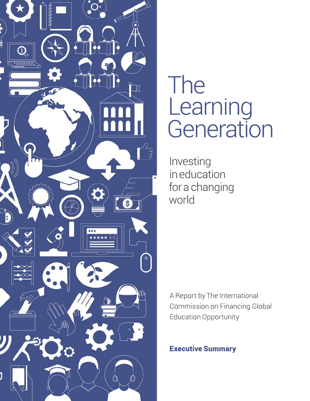

# The Learning<br>Generation

Investing in education for a changing world

A Report by The International Commission on Financing Global **Education Opportunity** 

**Executive Summary**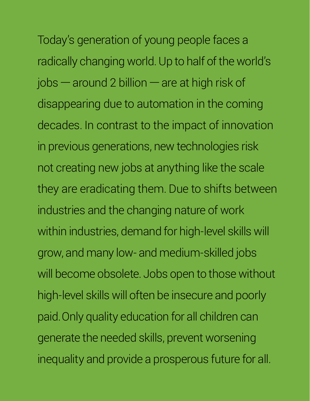Today's generation of young people faces a radically changing world. Up to half of the world's jobs — around 2 billion — are at high risk of disappearing due to automation in the coming decades. In contrast to the impact of innovation in previous generations, new technologies risk not creating new jobs at anything like the scale they are eradicating them. Due to shifts between industries and the changing nature of work within industries, demand for high-level skills will grow, and many low- and medium-skilled jobs will become obsolete. Jobs open to those without high-level skills will often be insecure and poorly paid. Only quality education for all children can generate the needed skills, prevent worsening inequality and provide a prosperous future for all.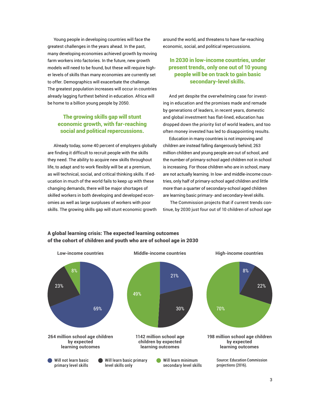Young people in developing countries will face the greatest challenges in the years ahead. In the past, many developing economies achieved growth by moving farm workers into factories. In the future, new growth models will need to be found, but these will require higher levels of skills than many economies are currently set to offer. Demographics will exacerbate the challenge. The greatest population increases will occur in countries already lagging furthest behind in education. Africa will be home to a billion young people by 2050.

#### The growing skills gap will stunt economic growth, with far-reaching social and political repercussions.

Already today, some 40 percent of employers globally are finding it difficult to recruit people with the skills they need. The ability to acquire new skills throughout life, to adapt and to work flexibly will be at a premium, as will technical, social, and critical thinking skills. If education in much of the world fails to keep up with these changing demands, there will be major shortages of skilled workers in both developing and developed economies as well as large surpluses of workers with poor skills. The growing skills gap will stunt economic growth around the world, and threatens to have far-reaching economic, social, and political repercussions.

#### In 2030 in low-income countries, under present trends, only one out of 10 young people will be on track to gain basic secondary-level skills.

And yet despite the overwhelming case for investing in education and the promises made and remade by generations of leaders, in recent years, domestic and global investment has flat-lined, education has dropped down the priority list of world leaders, and too often money invested has led to disappointing results.

Education in many countries is not improving and children are instead falling dangerously behind; 263 million children and young people are out of school, and the number of primary-school aged children not in school is increasing. For those children who are in school, many are not actually learning. In low- and middle-income countries, only half of primary-school aged children and little more than a quarter of secondary-school aged children are learning basic primary- and secondary-level skills.

The Commission projects that if current trends continue, by 2030 just four out of 10 children of school age



#### A global learning crisis: The expected learning outcomes of the cohort of children and youth who are of school age in 2030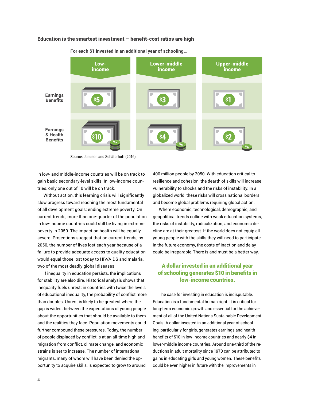#### Education is the smartest investment – benefit-cost ratios are high



**For each \$1 invested in an additional year of schooling…**

Source: Jamison and Schäferhoff (2016).

in low- and middle-income countries will be on track to gain basic secondary-level skills. In low-income countries, only one out of 10 will be on track.

Without action, this learning crisis will significantly slow progress toward reaching the most fundamental of all development goals: ending extreme poverty. On current trends, more than one-quarter of the population in low-income countries could still be living in extreme poverty in 2050. The impact on health will be equally severe. Projections suggest that on current trends, by 2050, the number of lives lost each year because of a failure to provide adequate access to quality education would equal those lost today to HIV/AIDS and malaria, two of the most deadly global diseases.

If inequality in education persists, the implications for stability are also dire. Historical analysis shows that inequality fuels unrest; in countries with twice the levels of educational inequality, the probability of conflict more than doubles. Unrest is likely to be greatest where the gap is widest between the expectations of young people about the opportunities that should be available to them and the realities they face. Population movements could further compound these pressures. Today, the number of people displaced by conflict is at an all-time high and migration from conflict, climate change, and economic strains is set to increase. The number of international migrants, many of whom will have been denied the opportunity to acquire skills, is expected to grow to around

400 million people by 2050. With education critical to resilience and cohesion, the dearth of skills will increase vulnerability to shocks and the risks of instability. In a globalized world, these risks will cross national borders and become global problems requiring global action.

Where economic, technological, demographic, and geopolitical trends collide with weak education systems, the risks of instability, radicalization, and economic decline are at their greatest. If the world does not equip all young people with the skills they will need to participate in the future economy, the costs of inaction and delay could be irreparable.There is and must be a better way.

#### A dollar invested in an additional year of schooling generates \$10 in benefits in low-income countries.

The case for investing in education is indisputable. Education is a fundamental human right. It is critical for long-term economic growth and essential for the achievement of all of the United Nations Sustainable Development Goals. A dollar invested in an additional year of schooling, particularly for girls, generates earnings and health benefits of \$10 in low-income countries and nearly \$4 in lower-middle income countries. Around one-third of the reductions in adult mortality since 1970 can be attributed to gains in educating girls and young women. These benefits could be even higher in future with the improvements in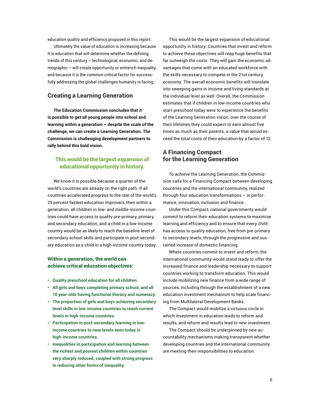education quality and efficiency proposed in this report.

Ultimately the value of education is increasing because it is education that will determine whether the defining trends of this century – technological, economic, and demographic – will create opportunity or entrench inequality, and because it is the common critical factor for successfully addressing the global challenges humanity is facing.

#### Creating a Learning Generation

**The Education Commission concludes that it is possible to get all young people into school and learning within a generation – despite the scale of the challenge, we can create a Learning Generation. The Commission is challenging development partners to rally behind this bold vision.**

#### This would be the largest expansion of educational opportunity in history.

We know it is possible because a quarter of the world's countries are already on the right path. If all countries accelerated progress to the rate of the world's 25 percent fastest education improvers, then within a generation, all children in low- and middle-income countries could have access to quality pre-primary, primary, and secondary education, and a child in a low-income country would be as likely to reach the baseline level of secondary school skills and participate in post-secondary education as a child in a high-income country today.

#### Within a generation, the world can achieve critical education objectives:

- **• Quality preschool education for all children.**
- **All girls and boys completing primary school, and all 10 year-olds having functional literacy and numeracy.**
- **The proportion of girls and boys achieving secondary level skills in low-income countries to reach current levels in high-income countries.**
- **Participation in post-secondary learning in lowincome countries to near levels seen today in high-income countries.**
- **Inequalities in participation and learning between the richest and poorest children within countries very sharply reduced, coupled with strong progress in reducing other forms of inequality.**

This would be the largest expansion of educational opportunity in history. Countries that invest and reform to achieve these objectives will reap huge benefits that far outweigh the costs. They will gain the economic advantages that come with an educated workforce with the skills necessary to compete in the 21st century economy. The overall economic benefits will translate into sweeping gains in income and living standards at the individual level as well. Overall, the Commission estimates that if children in low-income countries who start preschool today were to experience the benefits of the Learning Generation vision, over the course of their lifetimes they could expect to earn almost five times as much as their parents, a value that would exceed the total costs of their education by a factor of 12.

#### A Financing Compact for the Learning Generation

To achieve the Learning Generation, the Commission calls for a Financing Compact between developing countries and the international community, realized through four education transformations – in performance, innovation, inclusion and finance.

Under this Compact, national governments would commit to reform their education systems to maximize learning and efficiency and to ensure that every child has access to quality education, free from pre-primary to secondary levels, through the progressive and sustained increase of domestic financing.

Where countries commit to invest and reform, the international community would stand ready to offer the increased finance and leadership necessary to support countries working to transform education. This would include mobilizing new finance from a wide range of sources, including through the establishment of a new education investment mechanism to help scale financing from Multilateral Development Banks.

The Compact would mobilize a virtuous circle in which investment in education leads to reform and results, and reform and results lead to new investment.

The Compact should be underpinned by new accountability mechanisms making transparent whether developing countries and the international community are meeting their responsibilities to education.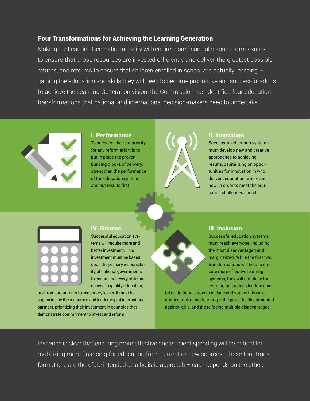### Four Transformations for Achieving the Learning Generation

Making the Learning Generation a reality will require more financial resources, measures to ensure that those resources are invested efficiently and deliver the greatest possible returns, and reforms to ensure that children enrolled in school are actually learning  $$ gaining the education and skills they will need to become productive and successful adults. To achieve the Learning Generation vision, the Commission has identified four education transformations that national and international decision-makers need to undertake:



#### I. Performance

To succeed, the first priority for any reform effort is to put in place the proven building blocks of delivery, strengthen the performance of the education system, and put results first.



#### II. Innovation

Successful education systems must develop new and creative approaches to achieving results, capitalizing on opportunities for innovation in who delivers education, where and how, in order to meet the education challenges ahead.



#### IV. Finance

 Successful education systems will require more and better investment. This investment must be based upon the primary responsibility of national governments to ensure that every child has access to quality education,

free from pre-primary to secondary levels. It must be supported by the resources and leadership of international partners, prioritizing their investment in countries that demonstrate commitment to invest and reform.

#### III. Inclusion

Successful education systems must reach everyone, including the most disadvantaged and marginalized. While the first two transformations will help to ensure more effective learning systems, they will not close the learning gap unless leaders also

take additional steps to include and support those at greatest risk of not learning – the poor, the discriminated against, girls, and those facing multiple disadvantages.

Evidence is clear that ensuring more effective and efficient spending will be critical for mobilizing more financing for education from current or new sources. These four transformations are therefore intended as a holistic approach – each depends on the other.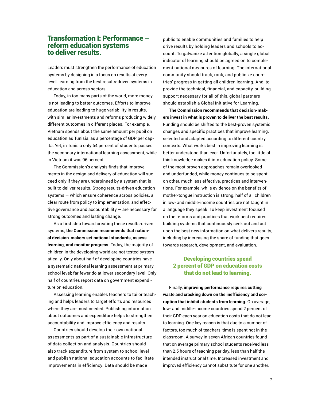#### Transformation I: Performance – reform education systems to deliver results.

Leaders must strengthen the performance of education systems by designing in a focus on results at every level, learning from the best results-driven systems in education and across sectors.

Today, in too many parts of the world, more money is not leading to better outcomes. Efforts to improve education are leading to huge variability in results, with similar investments and reforms producing widely different outcomes in different places. For example, Vietnam spends about the same amount per pupil on education as Tunisia, as a percentage of GDP per capita. Yet, in Tunisia only 64 percent of students passed the secondary international learning assessment, while in Vietnam it was 96 percent.

The Commission's analysis finds that improvements in the design and delivery of education will succeed only if they are underpinned by a system that is built to deliver results. Strong results-driven education systems — which ensure coherence across policies, a clear route from policy to implementation, and effective governance and accountability — are necessary for strong outcomes and lasting change.

As a first step toward creating these results-driven systems, **the Commission recommends that national decision-makers set national standards, assess learning, and monitor progress.** Today, the majority of children in the developing world are not tested systematically. Only about half of developing countries have a systematic national learning assessment at primary school level; far fewer do at lower secondary level. Only half of countries report data on government expenditure on education.

Assessing learning enables teachers to tailor teaching and helps leaders to target efforts and resources where they are most needed. Publishing information about outcomes and expenditure helps to strengthen accountability and improve efficiency and results.

Countries should develop their own national assessments as part of a sustainable infrastructure of data collection and analysis. Countries should also track expenditure from system to school level and publish national education accounts to facilitate improvements in efficiency. Data should be made

public to enable communities and families to help drive results by holding leaders and schools to account. To galvanize attention globally, a single global indicator of learning should be agreed on to complement national measures of learning. The international community should track, rank, and publicize countries' progress in getting all children learning. And, to provide the technical, financial, and capacity-building support necessary for all of this, global partners should establish a Global Initiative for Learning.

**The Commission recommends that decision-makers invest in what is proven to deliver the best results.** Funding should be shifted to the best-proven systemic changes and specific practices that improve learning, selected and adapted according to different country contexts. What works best in improving learning is better understood than ever. Unfortunately, too little of this knowledge makes it into education policy. Some of the most proven approaches remain overlooked and underfunded, while money continues to be spent on other, much less effective, practices and interventions. For example, while evidence on the benefits of mother-tongue instruction is strong, half of all children in low- and middle-income countries are not taught in a language they speak. To keep investment focused on the reforms and practices that work best requires building systems that continuously seek out and act upon the best new information on what delivers results, including by increasing the share of funding that goes towards research, development, and evaluation.

#### Developing countries spend 2 percent of GDP on education costs that do not lead to learning.

Finally, **improving performance requires cutting waste and cracking down on the inefficiency and corruption that inhibit students from learning.** On average, low- and middle-income countries spend 2 percent of their GDP each year on education costs that do not lead to learning. One key reason is that due to a number of factors, too much of teachers' time is spent not in the classroom. A survey in seven African countries found that on average primary school students received less than 2.5 hours of teaching per day, less than half the intended instructional time. Increased investment and improved efficiency cannot substitute for one another.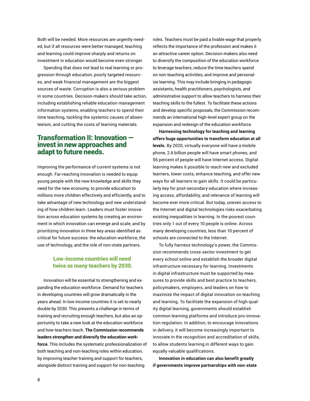Both will be needed. More resources are urgently needed, but if all resources were better managed, teaching and learning could improve sharply and returns on investment in education would become even stronger.

Spending that does not lead to real learning or progression through education, poorly targeted resources, and weak financial management are the biggest sources of waste. Corruption is also a serious problem in some countries. Decision-makers should take action, including establishing reliable education management information systems, enabling teachers to spend their time teaching, tackling the systemic causes of absenteeism, and cutting the costs of learning materials.

### Transformation II: Innovation invest in new approaches and adapt to future needs.

Improving the performance of current systems is not enough. Far-reaching innovation is needed to equip young people with the new knowledge and skills they need for the new economy, to provide education to millions more children effectively and efficiently, and to take advantage of new technology and new understanding of how children learn. Leaders must foster innovation across education systems by creating an environment in which innovation can emerge and scale, and by prioritizing innovation in three key areas identified as critical for future success: the education workforce, the use of technology, and the role of non-state partners.

#### Low-income countries will need twice as many teachers by 2030.

Innovation will be essential to strengthening and expanding the education workforce. Demand for teachers in developing countries will grow dramatically in the years ahead. In low-income countries it is set to nearly double by 2030. This presents a challenge in terms of training and recruiting enough teachers, but also an opportunity to take a new look at the education workforce and how teachers teach. **The Commission recommends leaders strengthen and diversify the education workforce.** This includes the systematic professionalization of both teaching and non-teaching roles within education, by improving teacher training and support for teachers, alongside distinct training and support for non-teaching

roles. Teachers must be paid a livable wage that properly reflects the importance of the profession and makes it an attractive career option. Decision-makers also need to diversify the composition of the education workforce to leverage teachers, reduce the time teachers spend on non-teaching activities, and improve and personalize learning. This may include bringing in pedagogic assistants, health practitioners, psychologists, and administrative support to allow teachers to harness their teaching skills to the fullest. To facilitate these actions and develop specific proposals, the Commission recommends an international high-level expert group on the expansion and redesign of the education workforce.

**Harnessing technology for teaching and learning offers huge opportunities to transform education at all levels.** By 2020, virtually everyone will have a mobile phone, 2.6 billion people will have smart phones, and 56 percent of people will have Internet access. Digital learning makes it possible to reach new and excluded learners, lower costs, enhance teaching, and offer new ways for all learners to gain skills. It could be particularly key for post-secondary education where increasing access, affordability, and relevance of learning will become ever more critical. But today, uneven access to the Internet and digital technologies risks exacerbating existing inequalities in learning. In the poorest countries only 1 out of every 10 people is online. Across many developing countries, less than 10 percent of schools are connected to the Internet.

To fully harness technology's power, the Commission recommends cross-sector investment to get every school online and establish the broader digital infrastructure necessary for learning. Investments in digital infrastructure must be supported by measures to provide skills and best practice to teachers, policymakers, employers, and leaders on how to maximize the impact of digital innovation on teaching and learning. To facilitate the expansion of high-quality digital learning, governments should establish common learning platforms and introduce pro-innovation regulation. In addition, to encourage innovations in delivery, it will become increasingly important to innovate in the recognition and accreditation of skills, to allow students learning in different ways to gain equally valuable qualifications.

**Innovation in education can also benefit greatly if governments improve partnerships with non-state**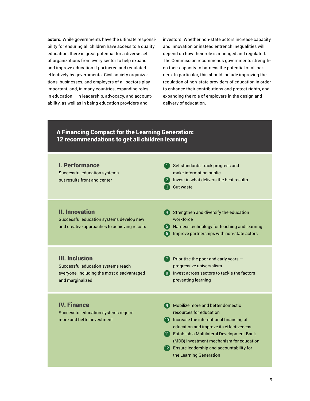**actors.** While governments have the ultimate responsibility for ensuring all children have access to a quality education, there is great potential for a diverse set of organizations from every sector to help expand and improve education if partnered and regulated effectively by governments. Civil society organizations, businesses, and employers of all sectors play important, and, in many countries, expanding roles in education – in leadership, advocacy, and accountability, as well as in being education providers and

investors. Whether non-state actors increase capacity and innovation or instead entrench inequalities will depend on how their role is managed and regulated. The Commission recommends governments strengthen their capacity to harness the potential of all partners. In particular, this should include improving the regulation of non-state providers of education in order to enhance their contributions and protect rights, and expanding the role of employers in the design and delivery of education.

#### A Financing Compact for the Learning Generation: 12 recommendations to get all children learning

| <b>I. Performance</b><br><b>Successful education systems</b><br>put results front and center                                  | 1 Set standards, track progress and<br>make information public<br>2 Invest in what delivers the best results<br>Cut waste<br>-3                                                                                                                                                                                               |
|-------------------------------------------------------------------------------------------------------------------------------|-------------------------------------------------------------------------------------------------------------------------------------------------------------------------------------------------------------------------------------------------------------------------------------------------------------------------------|
| <b>II. Innovation</b><br>Successful education systems develop new<br>and creative approaches to achieving results             | 4 Strengthen and diversify the education<br>workforce<br>(5) Harness technology for teaching and learning<br>Improve partnerships with non-state actors<br>(6)                                                                                                                                                                |
| <b>III. Inclusion</b><br>Successful education systems reach<br>everyone, including the most disadvantaged<br>and marginalized | $\overline{7}$ Prioritize the poor and early years $\overline{-}$<br>progressive universalism<br>8 Invest across sectors to tackle the factors<br>preventing learning                                                                                                                                                         |
| <b>IV. Finance</b><br>Successful education systems require<br>more and better investment                                      | 9 Mobilize more and better domestic<br>resources for education<br>10 Increase the international financing of<br>education and improve its effectiveness<br>11 Establish a Multilateral Development Bank<br>(MDB) investment mechanism for education<br>12 Ensure leadership and accountability for<br>the Learning Generation |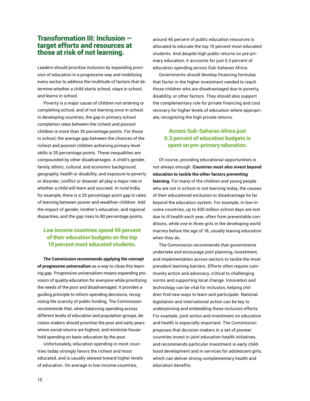#### Transformation III: Inclusion target efforts and resources at those at risk of not learning.

Leaders should prioritize inclusion by expanding provision of education in a progressive way and mobilizing every sector to address the multitude of factors that determine whether a child starts school, stays in school, and learns in school.

Poverty is a major cause of children not entering or completing school, and of not learning once in school. In developing countries, the gap in primary school completion rates between the richest and poorest children is more than 30 percentage points. For those in school, the average gap between the chances of the richest and poorest children achieving primary-level skills is 20 percentage points. These inequalities are compounded by other disadvantages. A child's gender, family, ethnic, cultural, and economic background, geography, health or disability, and exposure to poverty or disorder, conflict or disaster all play a major role in whether a child will learn and succeed. In rural India, for example, there is a 20 percentage-point gap in rates of learning between poorer and wealthier children. Add the impact of gender, mother's education, and regional disparities, and the gap rises to 80 percentage points.

#### Low income countries spend 46 percent of their education budgets on the top 10 percent most educated students.

**The Commission recommends applying the concept of progressive universalism** as a way to close this learning gap. Progressive universalism means expanding provision of quality education for everyone while prioritizing the needs of the poor and disadvantaged. It provides a guiding principle to inform spending decisions, recognizing the scarcity of public funding. The Commission recommends that, when balancing spending across different levels of education and population groups, decision-makers should prioritize the poor and early years where social returns are highest, and minimize household spending on basic education by the poor.

Unfortunately, education spending in most countries today strongly favors the richest and most educated, and is usually skewed toward higher levels of education. On average in low-income countries,

around 46 percent of public education resources is allocated to educate the top 10 percent most educated students. And despite high public returns on pre-primary education, it accounts for just 0.3 percent of education spending across Sub-Saharan Africa.

Governments should develop financing formulas that factor in the higher investment needed to reach those children who are disadvantaged due to poverty, disability, or other factors. They should also support the complementary role for private financing and cost recovery for higher levels of education where appropriate, recognizing the high private returns.

#### Across Sub-Saharan Africa just 0.3 percent of education budgets is spent on pre-primary education.

Of course, providing educational opportunities is not always enough. **Countries must also invest beyond education to tackle the other factors preventing learning.** For many of the children and young people who are not in school or not learning today, the causes of their educational exclusion or disadvantage lie far beyond the education system. For example, in low-income countries, up to 500 million school days are lost due to ill health each year, often from preventable conditions, while one in three girls in the developing world marries before the age of 18, usually leaving education when they do.

The Commission recommends that governments undertake and encourage joint planning, investment, and implementation across sectors to tackle the most prevalent learning barriers. Efforts often require community action and advocacy, critical to challenging norms and supporting local change. Innovation and technology can be vital for inclusion, helping children find new ways to learn and participate. National legislation and international action can be key to underpinning and embedding these inclusion efforts. For example, joint action and investment on education and health is especially important. The Commission proposes that decision-makers in a set of pioneer countries invest in joint education-health initiatives, and recommends particular investment in early childhood development and in services for adolescent girls, which can deliver strong complementary health and education benefits.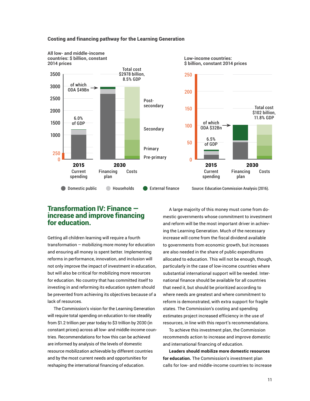

#### Costing and financing pathway for the Learning Generation

**\$ billion, constant 2014 prices**

# 2030 Financing plan Costs \$102 billion,<br>11.8% GDP Source: Education Commission Analysis (2016).

Total cost

#### Transformation IV: Finance increase and improve financing for education.

Getting all children learning will require a fourth transformation – mobilizing more money for education and ensuring all money is spent better. Implementing reforms in performance, innovation, and inclusion will not only improve the impact of investment in education, but will also be critical for mobilizing more resources for education. No country that has committed itself to investing in and reforming its education system should be prevented from achieving its objectives because of a lack of resources.

The Commission's vision for the Learning Generation will require total spending on education to rise steadily from \$1.2 trillion per year today to \$3 trillion by 2030 (in constant prices) across all low- and middle-income countries. Recommendations for how this can be achieved are informed by analysis of the levels of domestic resource mobilization achievable by different countries and by the most current needs and opportunities for reshaping the international financing of education.

A large majority of this money must come from domestic governments whose commitment to investment and reform will be the most important driver in achieving the Learning Generation. Much of the necessary increase will come from the fiscal dividend available to governments from economic growth, but increases are also needed in the share of public expenditures allocated to education. This will not be enough, though, particularly in the case of low-income countries where substantial international support will be needed. International finance should be available for all countries that need it, but should be prioritized according to where needs are greatest and where commitment to reform is demonstrated, with extra support for fragile states. The Commission's costing and spending estimates project increased efficiency in the use of resources, in line with this report's recommendations.

To achieve this investment plan, the Commission recommends action to increase and improve domestic and international financing of education.

**Leaders should mobilize more domestic resources for education.** The Commission's investment plan calls for low- and middle-income countries to increase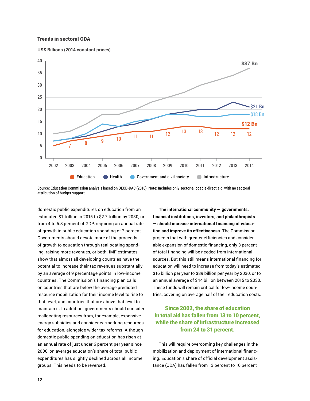#### Trends in sectoral ODA





Source: Education Commission analysis based on OECD-DAC (2016). Note: Includes only sector-allocable direct aid, with no sectoral attribution of budget support.

domestic public expenditures on education from an estimated \$1 trillion in 2015 to \$2.7 trillion by 2030, or from 4 to 5.8 percent of GDP, requiring an annual rate of growth in public education spending of 7 percent. Governments should devote more of the proceeds of growth to education through reallocating spending, raising more revenues, or both. IMF estimates show that almost all developing countries have the potential to increase their tax revenues substantially, by an average of 9 percentage points in low-income countries. The Commission's financing plan calls on countries that are below the average predicted resource mobilization for their income level to rise to that level, and countries that are above that level to maintain it. In addition, governments should consider reallocating resources from, for example, expensive energy subsidies and consider earmarking resources for education, alongside wider tax reforms. Although domestic public spending on education has risen at an annual rate of just under 6 percent per year since 2000, on average education's share of total public expenditures has slightly declined across all income groups. This needs to be reversed.

**The international community — governments, financial institutions, investors, and philanthropists — should increase international financing of education and improve its effectiveness.** The Commission projects that with greater efficiencies and considerable expansion of domestic financing, only 3 percent of total financing will be needed from international sources. But this still means international financing for education will need to increase from today's estimated \$16 billion per year to \$89 billion per year by 2030, or to an annual average of \$44 billion between 2015 to 2030. These funds will remain critical for low-income countries, covering on average half of their education costs.

#### Since 2002, the share of education in total aid has fallen from 13 to 10 percent, while the share of infrastructure increased from 24 to 31 percent.

This will require overcoming key challenges in the mobilization and deployment of international financing. Education's share of official development assistance (ODA) has fallen from 13 percent to 10 percent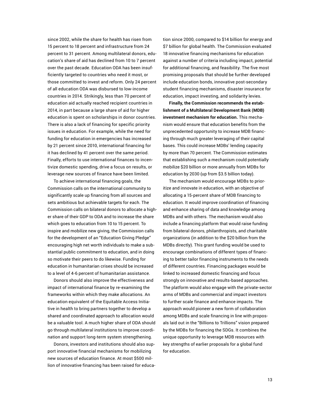since 2002, while the share for health has risen from 15 percent to 18 percent and infrastructure from 24 percent to 31 percent. Among multilateral donors, education's share of aid has declined from 10 to 7 percent over the past decade. Education ODA has been insufficiently targeted to countries who need it most, or those committed to invest and reform. Only 24 percent of all education ODA was disbursed to low-income countries in 2014. Strikingly, less than 70 percent of education aid actually reached recipient countries in 2014, in part because a large share of aid for higher education is spent on scholarships in donor countries. There is also a lack of financing for specific priority issues in education. For example, while the need for funding for education in emergencies has increased by 21 percent since 2010, international financing for it has declined by 41 percent over the same period. Finally, efforts to use international finances to incentivize domestic spending, drive a focus on results, or leverage new sources of finance have been limited.

To achieve international financing goals, the Commission calls on the international community to significantly scale up financing from all sources and sets ambitious but achievable targets for each. The Commission calls on bilateral donors to allocate a higher share of their GDP to ODA and to increase the share which goes to education from 10 to 15 percent. To inspire and mobilize new giving, the Commission calls for the development of an "Education Giving Pledge" encouraging high net worth individuals to make a substantial public commitment to education, and in doing so motivate their peers to do likewise. Funding for education in humanitarian crises should be increased to a level of 4-6 percent of humanitarian assistance.

Donors should also improve the effectiveness and impact of international finance by re-examining the frameworks within which they make allocations. An education equivalent of the Equitable Access Initiative in health to bring partners together to develop a shared and coordinated approach to allocation would be a valuable tool. A much higher share of ODA should go through multilateral institutions to improve coordination and support long-term system strengthening.

Donors, investors and institutions should also support innovative financial mechanisms for mobilizing new sources of education finance. At most \$500 million of innovative financing has been raised for education since 2000, compared to \$14 billion for energy and \$7 billion for global health. The Commission evaluated 18 innovative financing mechanisms for education against a number of criteria including impact, potential for additional financing, and feasibility. The five most promising proposals that should be further developed include education bonds, innovative post-secondary student financing mechanisms, disaster insurance for education, impact investing, and solidarity levies.

**Finally, the Commission recommends the establishment of a Multilateral Development Bank (MDB) investment mechanism for education.** This mechanism would ensure that education benefits from the unprecedented opportunity to increase MDB financing through much greater leveraging of their capital bases. This could increase MDBs' lending capacity by more than 70 percent. The Commission estimates that establishing such a mechanism could potentially mobilize \$20 billion or more annually from MDBs for education by 2030 (up from \$3.5 billion today).

The mechanism would encourage MDBs to prioritize and innovate in education, with an objective of allocating a 15-percent share of MDB financing to education. It would improve coordination of financing and enhance sharing of data and knowledge among MDBs and with others. The mechanism would also include a financing platform that would raise funding from bilateral donors, philanthropists, and charitable organizations (in addition to the \$20 billion from the MDBs directly). This grant funding would be used to encourage combinations of different types of financing to better tailor financing instruments to the needs of different countries. Financing packages would be linked to increased domestic financing and focus strongly on innovative and results-based approaches. The platform would also engage with the private-sector arms of MDBs and commercial and impact investors to further scale finance and enhance impacts. The approach would pioneer a new form of collaboration among MDBs and scale financing in line with proposals laid out in the "Billions to Trillions" vision prepared by the MDBs for financing the SDGs. It combines the unique opportunity to leverage MDB resources with key strengths of earlier proposals for a global fund for education.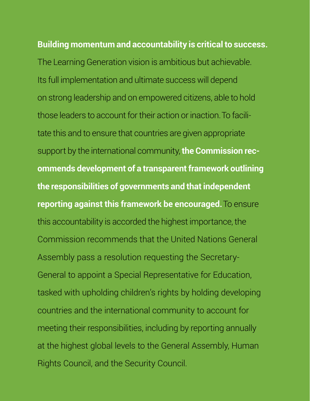## **Building momentum and accountability is critical to success.**

The Learning Generation vision is ambitious but achievable. Its full implementation and ultimate success will depend on strong leadership and on empowered citizens, able to hold those leaders to account for their action or inaction. To facilitate this and to ensure that countries are given appropriate support by the international community, the **Commission recommends development of a transparent framework outlining the responsibilities of governments and that independent reporting against this framework be encouraged.**To ensure this accountability is accorded the highest importance, the Commission recommends that the United Nations General Assembly pass a resolution requesting the Secretary-General to appoint a Special Representative for Education, tasked with upholding children's rights by holding developing countries and the international community to account for meeting their responsibilities, including by reporting annually at the highest global levels to the General Assembly, Human Rights Council, and the Security Council.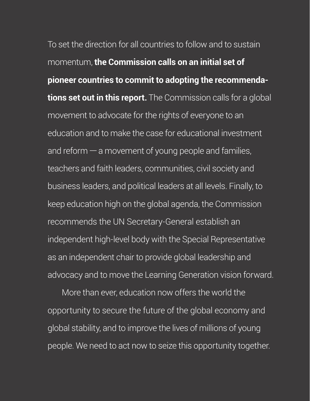To set the direction for all countries to follow and to sustain momentum, the Commission calls on an initial set of pioneer countries to commit to adopting the recommendations set out in this report. The Commission calls for a global movement to advocate for the rights of everyone to an education and to make the case for educational investment and reform  $-$  a movement of young people and families, teachers and faith leaders, communities, civil society and business leaders, and political leaders at all levels. Finally, to keep education high on the global agenda, the Commission recommends the UN Secretary-General establish an independent high-level body with the Special Representative as an independent chair to provide global leadership and advocacy and to move the Learning Generation vision forward.

More than ever, education now offers the world the opportunity to secure the future of the global economy and global stability, and to improve the lives of millions of young people. We need to act now to seize this opportunity together.